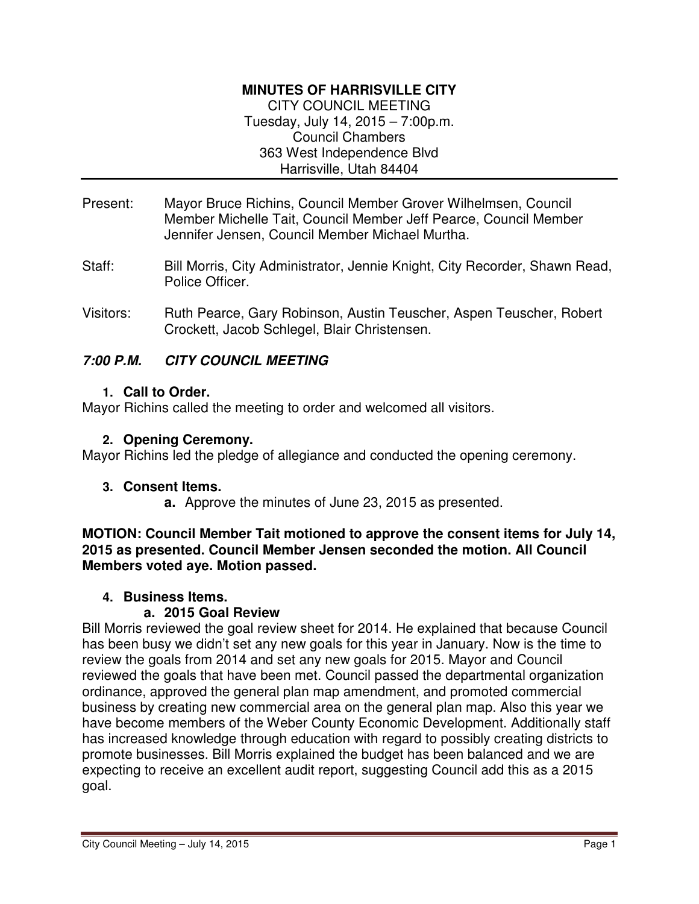## **MINUTES OF HARRISVILLE CITY**

CITY COUNCIL MEETING Tuesday, July 14, 2015 – 7:00p.m. Council Chambers 363 West Independence Blvd Harrisville, Utah 84404

- Present: Mayor Bruce Richins, Council Member Grover Wilhelmsen, Council Member Michelle Tait, Council Member Jeff Pearce, Council Member Jennifer Jensen, Council Member Michael Murtha.
- Staff: Bill Morris, City Administrator, Jennie Knight, City Recorder, Shawn Read, Police Officer.
- Visitors: Ruth Pearce, Gary Robinson, Austin Teuscher, Aspen Teuscher, Robert Crockett, Jacob Schlegel, Blair Christensen.

# **7:00 P.M. CITY COUNCIL MEETING**

### **1. Call to Order.**

Mayor Richins called the meeting to order and welcomed all visitors.

## **2. Opening Ceremony.**

Mayor Richins led the pledge of allegiance and conducted the opening ceremony.

### **3. Consent Items.**

**a.** Approve the minutes of June 23, 2015 as presented.

**MOTION: Council Member Tait motioned to approve the consent items for July 14, 2015 as presented. Council Member Jensen seconded the motion. All Council Members voted aye. Motion passed.** 

### **4. Business Items.**

## **a. 2015 Goal Review**

Bill Morris reviewed the goal review sheet for 2014. He explained that because Council has been busy we didn't set any new goals for this year in January. Now is the time to review the goals from 2014 and set any new goals for 2015. Mayor and Council reviewed the goals that have been met. Council passed the departmental organization ordinance, approved the general plan map amendment, and promoted commercial business by creating new commercial area on the general plan map. Also this year we have become members of the Weber County Economic Development. Additionally staff has increased knowledge through education with regard to possibly creating districts to promote businesses. Bill Morris explained the budget has been balanced and we are expecting to receive an excellent audit report, suggesting Council add this as a 2015 goal.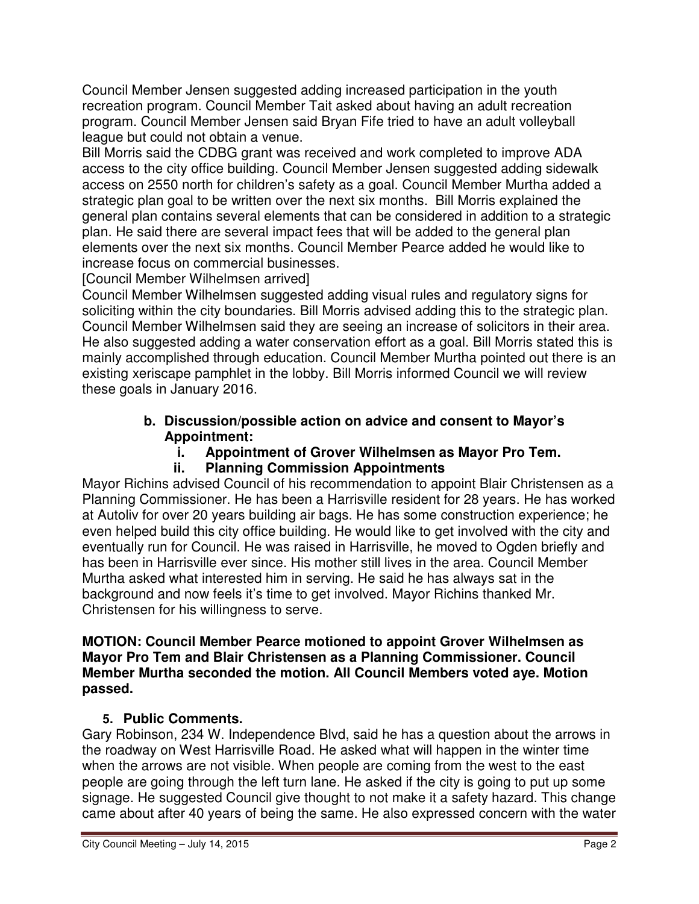Council Member Jensen suggested adding increased participation in the youth recreation program. Council Member Tait asked about having an adult recreation program. Council Member Jensen said Bryan Fife tried to have an adult volleyball league but could not obtain a venue.

Bill Morris said the CDBG grant was received and work completed to improve ADA access to the city office building. Council Member Jensen suggested adding sidewalk access on 2550 north for children's safety as a goal. Council Member Murtha added a strategic plan goal to be written over the next six months. Bill Morris explained the general plan contains several elements that can be considered in addition to a strategic plan. He said there are several impact fees that will be added to the general plan elements over the next six months. Council Member Pearce added he would like to increase focus on commercial businesses.

[Council Member Wilhelmsen arrived]

Council Member Wilhelmsen suggested adding visual rules and regulatory signs for soliciting within the city boundaries. Bill Morris advised adding this to the strategic plan. Council Member Wilhelmsen said they are seeing an increase of solicitors in their area. He also suggested adding a water conservation effort as a goal. Bill Morris stated this is mainly accomplished through education. Council Member Murtha pointed out there is an existing xeriscape pamphlet in the lobby. Bill Morris informed Council we will review these goals in January 2016.

# **b. Discussion/possible action on advice and consent to Mayor's Appointment:**

**i. Appointment of Grover Wilhelmsen as Mayor Pro Tem.** 

# **ii. Planning Commission Appointments**

Mayor Richins advised Council of his recommendation to appoint Blair Christensen as a Planning Commissioner. He has been a Harrisville resident for 28 years. He has worked at Autoliv for over 20 years building air bags. He has some construction experience; he even helped build this city office building. He would like to get involved with the city and eventually run for Council. He was raised in Harrisville, he moved to Ogden briefly and has been in Harrisville ever since. His mother still lives in the area. Council Member Murtha asked what interested him in serving. He said he has always sat in the background and now feels it's time to get involved. Mayor Richins thanked Mr. Christensen for his willingness to serve.

### **MOTION: Council Member Pearce motioned to appoint Grover Wilhelmsen as Mayor Pro Tem and Blair Christensen as a Planning Commissioner. Council Member Murtha seconded the motion. All Council Members voted aye. Motion passed.**

# **5. Public Comments.**

Gary Robinson, 234 W. Independence Blvd, said he has a question about the arrows in the roadway on West Harrisville Road. He asked what will happen in the winter time when the arrows are not visible. When people are coming from the west to the east people are going through the left turn lane. He asked if the city is going to put up some signage. He suggested Council give thought to not make it a safety hazard. This change came about after 40 years of being the same. He also expressed concern with the water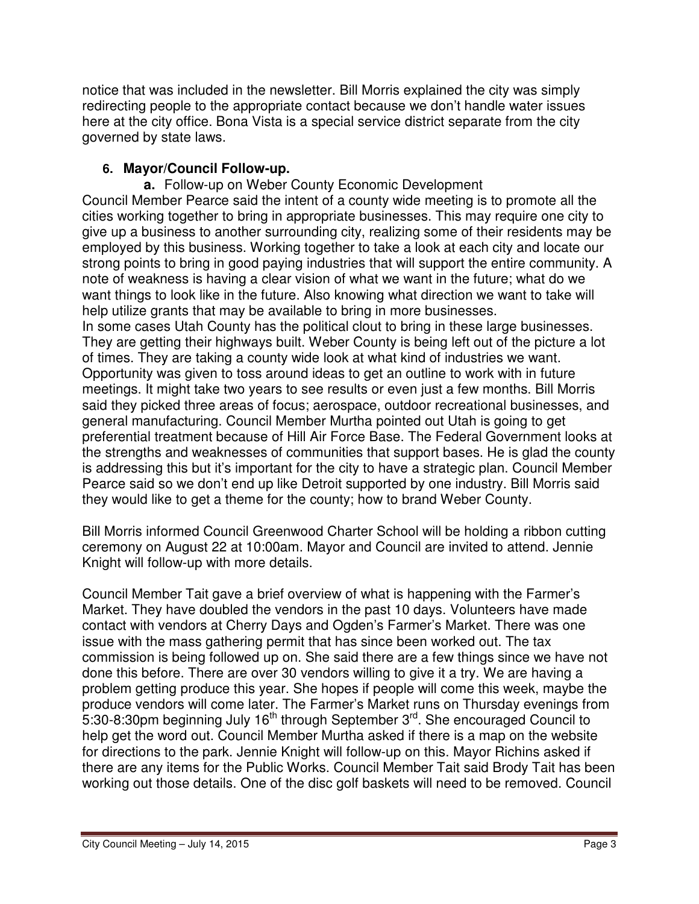notice that was included in the newsletter. Bill Morris explained the city was simply redirecting people to the appropriate contact because we don't handle water issues here at the city office. Bona Vista is a special service district separate from the city governed by state laws.

# **6. Mayor/Council Follow-up.**

**a.** Follow-up on Weber County Economic Development Council Member Pearce said the intent of a county wide meeting is to promote all the cities working together to bring in appropriate businesses. This may require one city to give up a business to another surrounding city, realizing some of their residents may be employed by this business. Working together to take a look at each city and locate our strong points to bring in good paying industries that will support the entire community. A note of weakness is having a clear vision of what we want in the future; what do we want things to look like in the future. Also knowing what direction we want to take will help utilize grants that may be available to bring in more businesses.

In some cases Utah County has the political clout to bring in these large businesses. They are getting their highways built. Weber County is being left out of the picture a lot of times. They are taking a county wide look at what kind of industries we want. Opportunity was given to toss around ideas to get an outline to work with in future meetings. It might take two years to see results or even just a few months. Bill Morris said they picked three areas of focus; aerospace, outdoor recreational businesses, and general manufacturing. Council Member Murtha pointed out Utah is going to get preferential treatment because of Hill Air Force Base. The Federal Government looks at the strengths and weaknesses of communities that support bases. He is glad the county is addressing this but it's important for the city to have a strategic plan. Council Member Pearce said so we don't end up like Detroit supported by one industry. Bill Morris said they would like to get a theme for the county; how to brand Weber County.

Bill Morris informed Council Greenwood Charter School will be holding a ribbon cutting ceremony on August 22 at 10:00am. Mayor and Council are invited to attend. Jennie Knight will follow-up with more details.

Council Member Tait gave a brief overview of what is happening with the Farmer's Market. They have doubled the vendors in the past 10 days. Volunteers have made contact with vendors at Cherry Days and Ogden's Farmer's Market. There was one issue with the mass gathering permit that has since been worked out. The tax commission is being followed up on. She said there are a few things since we have not done this before. There are over 30 vendors willing to give it a try. We are having a problem getting produce this year. She hopes if people will come this week, maybe the produce vendors will come later. The Farmer's Market runs on Thursday evenings from 5:30-8:30pm beginning July 16<sup>th</sup> through September  $3^{rd}$ . She encouraged Council to help get the word out. Council Member Murtha asked if there is a map on the website for directions to the park. Jennie Knight will follow-up on this. Mayor Richins asked if there are any items for the Public Works. Council Member Tait said Brody Tait has been working out those details. One of the disc golf baskets will need to be removed. Council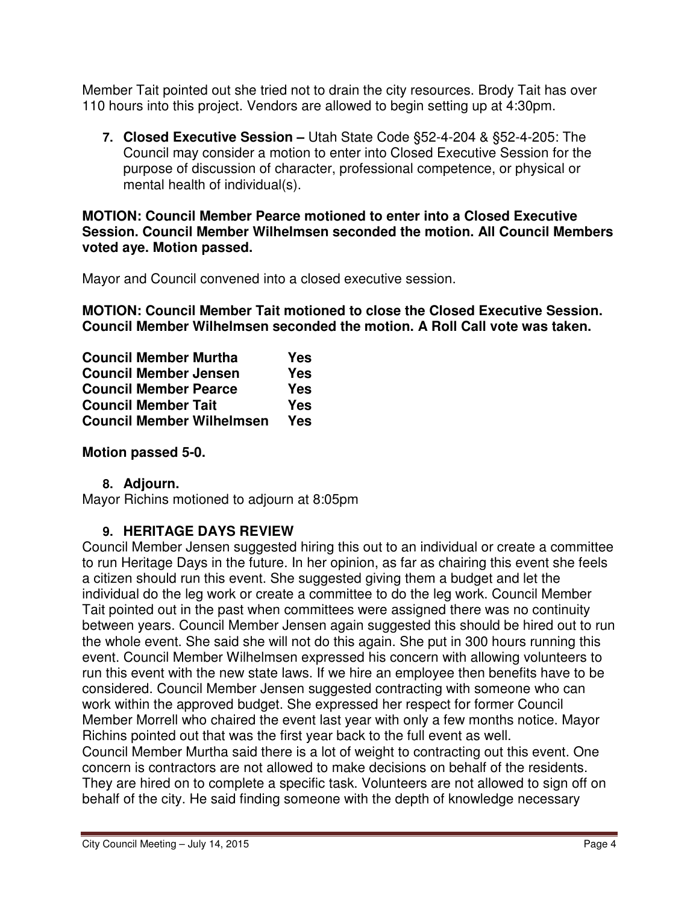Member Tait pointed out she tried not to drain the city resources. Brody Tait has over 110 hours into this project. Vendors are allowed to begin setting up at 4:30pm.

**7. Closed Executive Session –** Utah State Code §52-4-204 & §52-4-205: The Council may consider a motion to enter into Closed Executive Session for the purpose of discussion of character, professional competence, or physical or mental health of individual(s).

**MOTION: Council Member Pearce motioned to enter into a Closed Executive Session. Council Member Wilhelmsen seconded the motion. All Council Members voted aye. Motion passed.** 

Mayor and Council convened into a closed executive session.

**MOTION: Council Member Tait motioned to close the Closed Executive Session. Council Member Wilhelmsen seconded the motion. A Roll Call vote was taken.** 

| <b>Council Member Murtha</b>     | Yes        |
|----------------------------------|------------|
| <b>Council Member Jensen</b>     | <b>Yes</b> |
| <b>Council Member Pearce</b>     | Yes        |
| <b>Council Member Tait</b>       | Yes        |
| <b>Council Member Wilhelmsen</b> | Yes        |

## **Motion passed 5-0.**

## **8. Adjourn.**

Mayor Richins motioned to adjourn at 8:05pm

## **9. HERITAGE DAYS REVIEW**

Council Member Jensen suggested hiring this out to an individual or create a committee to run Heritage Days in the future. In her opinion, as far as chairing this event she feels a citizen should run this event. She suggested giving them a budget and let the individual do the leg work or create a committee to do the leg work. Council Member Tait pointed out in the past when committees were assigned there was no continuity between years. Council Member Jensen again suggested this should be hired out to run the whole event. She said she will not do this again. She put in 300 hours running this event. Council Member Wilhelmsen expressed his concern with allowing volunteers to run this event with the new state laws. If we hire an employee then benefits have to be considered. Council Member Jensen suggested contracting with someone who can work within the approved budget. She expressed her respect for former Council Member Morrell who chaired the event last year with only a few months notice. Mayor Richins pointed out that was the first year back to the full event as well.

Council Member Murtha said there is a lot of weight to contracting out this event. One concern is contractors are not allowed to make decisions on behalf of the residents. They are hired on to complete a specific task. Volunteers are not allowed to sign off on behalf of the city. He said finding someone with the depth of knowledge necessary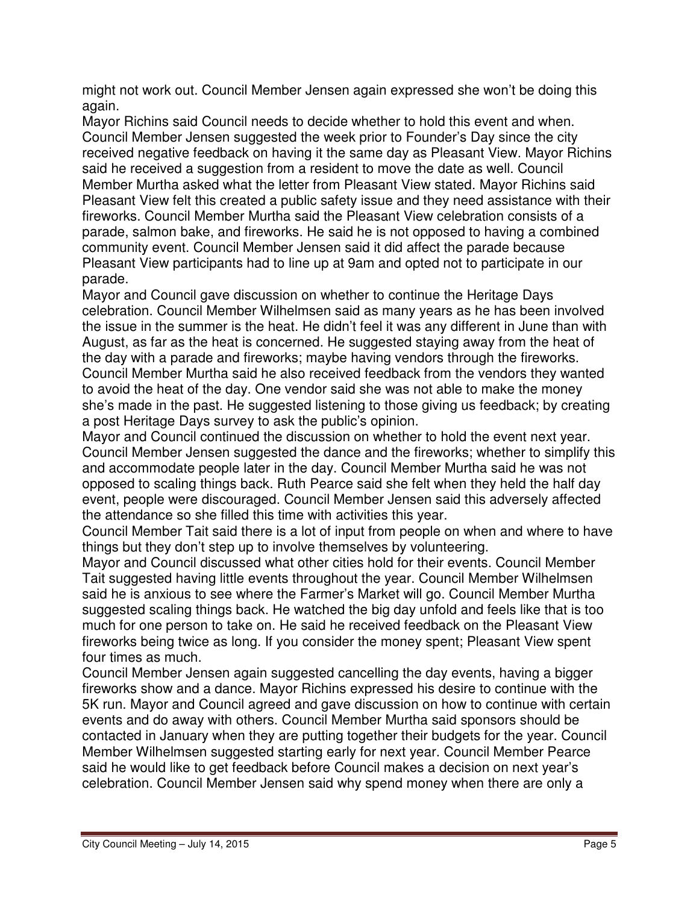might not work out. Council Member Jensen again expressed she won't be doing this again.

Mayor Richins said Council needs to decide whether to hold this event and when. Council Member Jensen suggested the week prior to Founder's Day since the city received negative feedback on having it the same day as Pleasant View. Mayor Richins said he received a suggestion from a resident to move the date as well. Council Member Murtha asked what the letter from Pleasant View stated. Mayor Richins said Pleasant View felt this created a public safety issue and they need assistance with their fireworks. Council Member Murtha said the Pleasant View celebration consists of a parade, salmon bake, and fireworks. He said he is not opposed to having a combined community event. Council Member Jensen said it did affect the parade because Pleasant View participants had to line up at 9am and opted not to participate in our parade.

Mayor and Council gave discussion on whether to continue the Heritage Days celebration. Council Member Wilhelmsen said as many years as he has been involved the issue in the summer is the heat. He didn't feel it was any different in June than with August, as far as the heat is concerned. He suggested staying away from the heat of the day with a parade and fireworks; maybe having vendors through the fireworks. Council Member Murtha said he also received feedback from the vendors they wanted to avoid the heat of the day. One vendor said she was not able to make the money she's made in the past. He suggested listening to those giving us feedback; by creating a post Heritage Days survey to ask the public's opinion.

Mayor and Council continued the discussion on whether to hold the event next year. Council Member Jensen suggested the dance and the fireworks; whether to simplify this and accommodate people later in the day. Council Member Murtha said he was not opposed to scaling things back. Ruth Pearce said she felt when they held the half day event, people were discouraged. Council Member Jensen said this adversely affected the attendance so she filled this time with activities this year.

Council Member Tait said there is a lot of input from people on when and where to have things but they don't step up to involve themselves by volunteering.

Mayor and Council discussed what other cities hold for their events. Council Member Tait suggested having little events throughout the year. Council Member Wilhelmsen said he is anxious to see where the Farmer's Market will go. Council Member Murtha suggested scaling things back. He watched the big day unfold and feels like that is too much for one person to take on. He said he received feedback on the Pleasant View fireworks being twice as long. If you consider the money spent; Pleasant View spent four times as much.

Council Member Jensen again suggested cancelling the day events, having a bigger fireworks show and a dance. Mayor Richins expressed his desire to continue with the 5K run. Mayor and Council agreed and gave discussion on how to continue with certain events and do away with others. Council Member Murtha said sponsors should be contacted in January when they are putting together their budgets for the year. Council Member Wilhelmsen suggested starting early for next year. Council Member Pearce said he would like to get feedback before Council makes a decision on next year's celebration. Council Member Jensen said why spend money when there are only a